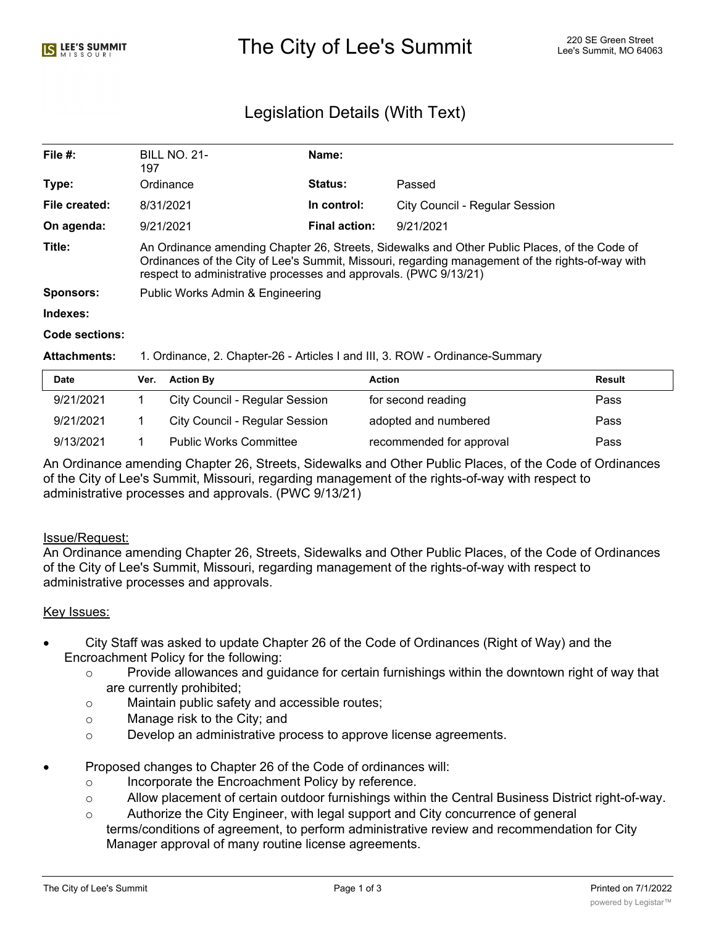# The City of Lee's Summit 220 SE Green Street Alex City of Lee's Summit, MO 64063

# Legislation Details (With Text)

| File $#$ :       | <b>BILL NO. 21-</b><br>197                                                                                                                                                                                                                                           | Name:                |                                |  |  |
|------------------|----------------------------------------------------------------------------------------------------------------------------------------------------------------------------------------------------------------------------------------------------------------------|----------------------|--------------------------------|--|--|
| Type:            | Ordinance                                                                                                                                                                                                                                                            | <b>Status:</b>       | Passed                         |  |  |
| File created:    | 8/31/2021                                                                                                                                                                                                                                                            | In control:          | City Council - Regular Session |  |  |
| On agenda:       | 9/21/2021                                                                                                                                                                                                                                                            | <b>Final action:</b> | 9/21/2021                      |  |  |
| Title:           | An Ordinance amending Chapter 26, Streets, Sidewalks and Other Public Places, of the Code of<br>Ordinances of the City of Lee's Summit, Missouri, regarding management of the rights-of-way with<br>respect to administrative processes and approvals. (PWC 9/13/21) |                      |                                |  |  |
| <b>Sponsors:</b> | Public Works Admin & Engineering                                                                                                                                                                                                                                     |                      |                                |  |  |
| Indexes:         |                                                                                                                                                                                                                                                                      |                      |                                |  |  |
| Code sections:   |                                                                                                                                                                                                                                                                      |                      |                                |  |  |

#### **Attachments:** 1. Ordinance, 2. Chapter-26 - Articles I and III, 3. ROW - Ordinance-Summary

| Date      | Ver. | <b>Action By</b>                      | Action                   | Result |
|-----------|------|---------------------------------------|--------------------------|--------|
| 9/21/2021 |      | <b>City Council - Regular Session</b> | for second reading       | Pass   |
| 9/21/2021 |      | <b>City Council - Regular Session</b> | adopted and numbered     | Pass   |
| 9/13/2021 |      | <b>Public Works Committee</b>         | recommended for approval | Pass   |

An Ordinance amending Chapter 26, Streets, Sidewalks and Other Public Places, of the Code of Ordinances of the City of Lee's Summit, Missouri, regarding management of the rights-of-way with respect to administrative processes and approvals. (PWC 9/13/21)

#### Issue/Request:

An Ordinance amending Chapter 26, Streets, Sidewalks and Other Public Places, of the Code of Ordinances of the City of Lee's Summit, Missouri, regarding management of the rights-of-way with respect to administrative processes and approvals.

#### Key Issues:

- City Staff was asked to update Chapter 26 of the Code of Ordinances (Right of Way) and the Encroachment Policy for the following:
	- $\circ$  Provide allowances and guidance for certain furnishings within the downtown right of way that are currently prohibited;
	- o Maintain public safety and accessible routes;
	- o Manage risk to the City; and
	- $\circ$  Develop an administrative process to approve license agreements.
	- · Proposed changes to Chapter 26 of the Code of ordinances will:
		- o Incorporate the Encroachment Policy by reference.
		- $\circ$  Allow placement of certain outdoor furnishings within the Central Business District right-of-way.
		- o Authorize the City Engineer, with legal support and City concurrence of general terms/conditions of agreement, to perform administrative review and recommendation for City Manager approval of many routine license agreements.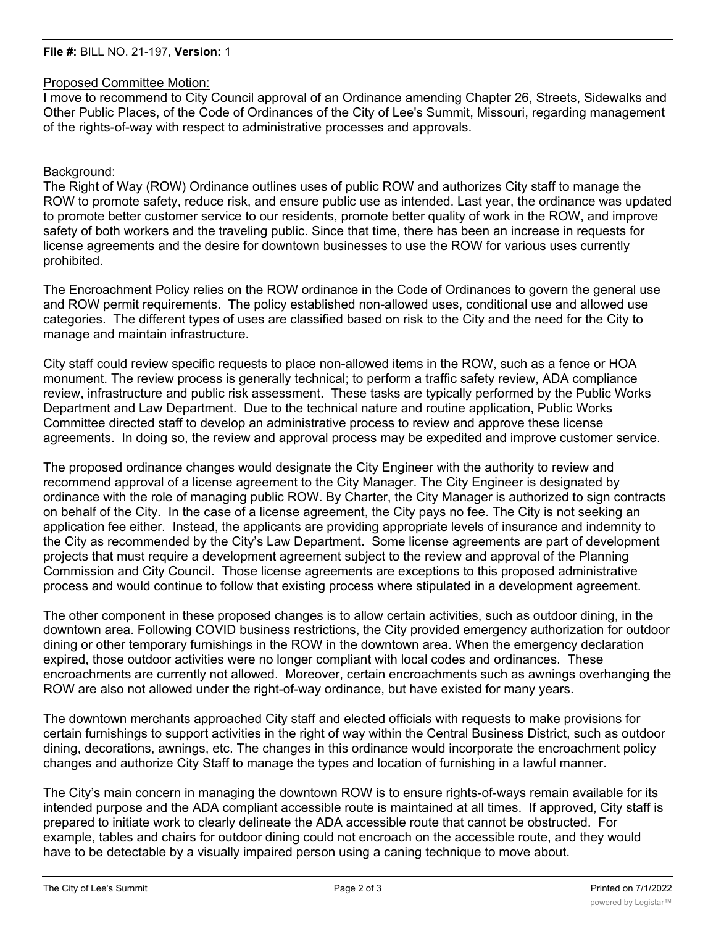### Proposed Committee Motion:

I move to recommend to City Council approval of an Ordinance amending Chapter 26, Streets, Sidewalks and Other Public Places, of the Code of Ordinances of the City of Lee's Summit, Missouri, regarding management of the rights-of-way with respect to administrative processes and approvals.

## Background:

The Right of Way (ROW) Ordinance outlines uses of public ROW and authorizes City staff to manage the ROW to promote safety, reduce risk, and ensure public use as intended. Last year, the ordinance was updated to promote better customer service to our residents, promote better quality of work in the ROW, and improve safety of both workers and the traveling public. Since that time, there has been an increase in requests for license agreements and the desire for downtown businesses to use the ROW for various uses currently prohibited.

The Encroachment Policy relies on the ROW ordinance in the Code of Ordinances to govern the general use and ROW permit requirements. The policy established non-allowed uses, conditional use and allowed use categories. The different types of uses are classified based on risk to the City and the need for the City to manage and maintain infrastructure.

City staff could review specific requests to place non-allowed items in the ROW, such as a fence or HOA monument. The review process is generally technical; to perform a traffic safety review, ADA compliance review, infrastructure and public risk assessment. These tasks are typically performed by the Public Works Department and Law Department. Due to the technical nature and routine application, Public Works Committee directed staff to develop an administrative process to review and approve these license agreements. In doing so, the review and approval process may be expedited and improve customer service.

The proposed ordinance changes would designate the City Engineer with the authority to review and recommend approval of a license agreement to the City Manager. The City Engineer is designated by ordinance with the role of managing public ROW. By Charter, the City Manager is authorized to sign contracts on behalf of the City. In the case of a license agreement, the City pays no fee. The City is not seeking an application fee either. Instead, the applicants are providing appropriate levels of insurance and indemnity to the City as recommended by the City's Law Department. Some license agreements are part of development projects that must require a development agreement subject to the review and approval of the Planning Commission and City Council. Those license agreements are exceptions to this proposed administrative process and would continue to follow that existing process where stipulated in a development agreement.

The other component in these proposed changes is to allow certain activities, such as outdoor dining, in the downtown area. Following COVID business restrictions, the City provided emergency authorization for outdoor dining or other temporary furnishings in the ROW in the downtown area. When the emergency declaration expired, those outdoor activities were no longer compliant with local codes and ordinances. These encroachments are currently not allowed. Moreover, certain encroachments such as awnings overhanging the ROW are also not allowed under the right-of-way ordinance, but have existed for many years.

The downtown merchants approached City staff and elected officials with requests to make provisions for certain furnishings to support activities in the right of way within the Central Business District, such as outdoor dining, decorations, awnings, etc. The changes in this ordinance would incorporate the encroachment policy changes and authorize City Staff to manage the types and location of furnishing in a lawful manner.

The City's main concern in managing the downtown ROW is to ensure rights-of-ways remain available for its intended purpose and the ADA compliant accessible route is maintained at all times. If approved, City staff is prepared to initiate work to clearly delineate the ADA accessible route that cannot be obstructed. For example, tables and chairs for outdoor dining could not encroach on the accessible route, and they would have to be detectable by a visually impaired person using a caning technique to move about.